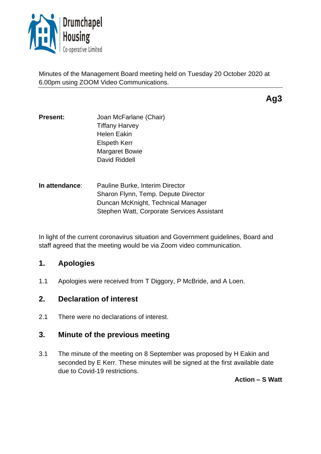

Minutes of the Management Board meeting held on Tuesday 20 October 2020 at 6.00pm using ZOOM Video Communications.

**Ag3**

- **Present:** Joan McFarlane (Chair) Tiffany Harvey Helen Eakin Elspeth Kerr Margaret Bowie David Riddell
- **In attendance**: Pauline Burke, Interim Director Sharon Flynn, Temp. Depute Director Duncan McKnight, Technical Manager Stephen Watt, Corporate Services Assistant

In light of the current coronavirus situation and Government guidelines, Board and staff agreed that the meeting would be via Zoom video communication.

# **1. Apologies**

1.1 Apologies were received from T Diggory, P McBride, and A Loen.

## **2. Declaration of interest**

2.1 There were no declarations of interest.

# **3. Minute of the previous meeting**

3.1 The minute of the meeting on 8 September was proposed by H Eakin and seconded by E Kerr. These minutes will be signed at the first available date due to Covid-19 restrictions.

**Action – S Watt**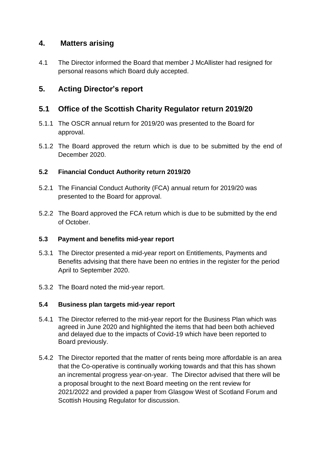## **4. Matters arising**

4.1 The Director informed the Board that member J McAllister had resigned for personal reasons which Board duly accepted.

# **5. Acting Director's report**

## **5.1 Office of the Scottish Charity Regulator return 2019/20**

- 5.1.1 The OSCR annual return for 2019/20 was presented to the Board for approval.
- 5.1.2 The Board approved the return which is due to be submitted by the end of December 2020.

### **5.2 Financial Conduct Authority return 2019/20**

- 5.2.1 The Financial Conduct Authority (FCA) annual return for 2019/20 was presented to the Board for approval.
- 5.2.2 The Board approved the FCA return which is due to be submitted by the end of October.

### **5.3 Payment and benefits mid-year report**

- 5.3.1 The Director presented a mid-year report on Entitlements, Payments and Benefits advising that there have been no entries in the register for the period April to September 2020.
- 5.3.2 The Board noted the mid-year report.

### **5.4 Business plan targets mid-year report**

- 5.4.1 The Director referred to the mid-year report for the Business Plan which was agreed in June 2020 and highlighted the items that had been both achieved and delayed due to the impacts of Covid-19 which have been reported to Board previously.
- 5.4.2 The Director reported that the matter of rents being more affordable is an area that the Co-operative is continually working towards and that this has shown an incremental progress year-on-year. The Director advised that there will be a proposal brought to the next Board meeting on the rent review for 2021/2022 and provided a paper from Glasgow West of Scotland Forum and Scottish Housing Regulator for discussion.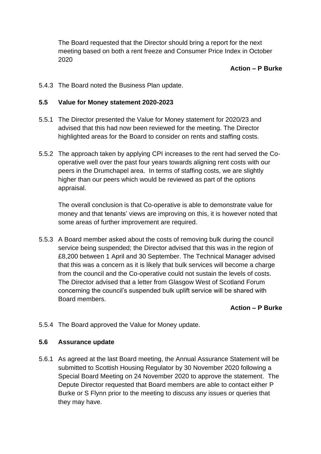The Board requested that the Director should bring a report for the next meeting based on both a rent freeze and Consumer Price Index in October 2020

#### **Action – P Burke**

5.4.3 The Board noted the Business Plan update.

#### **5.5 Value for Money statement 2020-2023**

- 5.5.1 The Director presented the Value for Money statement for 2020/23 and advised that this had now been reviewed for the meeting. The Director highlighted areas for the Board to consider on rents and staffing costs.
- 5.5.2 The approach taken by applying CPI increases to the rent had served the Cooperative well over the past four years towards aligning rent costs with our peers in the Drumchapel area. In terms of staffing costs, we are slightly higher than our peers which would be reviewed as part of the options appraisal.

The overall conclusion is that Co-operative is able to demonstrate value for money and that tenants' views are improving on this, it is however noted that some areas of further improvement are required.

5.5.3 A Board member asked about the costs of removing bulk during the council service being suspended; the Director advised that this was in the region of £8,200 between 1 April and 30 September. The Technical Manager advised that this was a concern as it is likely that bulk services will become a charge from the council and the Co-operative could not sustain the levels of costs. The Director advised that a letter from Glasgow West of Scotland Forum concerning the council's suspended bulk uplift service will be shared with Board members.

#### **Action – P Burke**

5.5.4 The Board approved the Value for Money update.

#### **5.6 Assurance update**

5.6.1 As agreed at the last Board meeting, the Annual Assurance Statement will be submitted to Scottish Housing Regulator by 30 November 2020 following a Special Board Meeting on 24 November 2020 to approve the statement. The Depute Director requested that Board members are able to contact either P Burke or S Flynn prior to the meeting to discuss any issues or queries that they may have.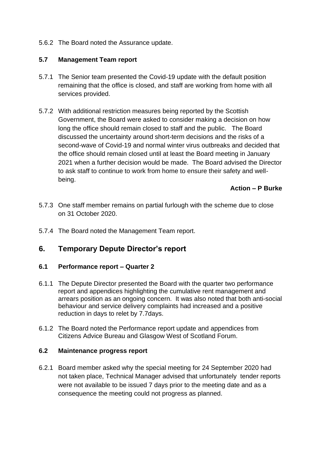5.6.2 The Board noted the Assurance update.

#### **5.7 Management Team report**

- 5.7.1 The Senior team presented the Covid-19 update with the default position remaining that the office is closed, and staff are working from home with all services provided.
- 5.7.2 With additional restriction measures being reported by the Scottish Government, the Board were asked to consider making a decision on how long the office should remain closed to staff and the public. The Board discussed the uncertainty around short-term decisions and the risks of a second-wave of Covid-19 and normal winter virus outbreaks and decided that the office should remain closed until at least the Board meeting in January 2021 when a further decision would be made. The Board advised the Director to ask staff to continue to work from home to ensure their safety and wellbeing.

### **Action – P Burke**

- 5.7.3 One staff member remains on partial furlough with the scheme due to close on 31 October 2020.
- 5.7.4 The Board noted the Management Team report.

# **6. Temporary Depute Director's report**

### **6.1 Performance report – Quarter 2**

- 6.1.1 The Depute Director presented the Board with the quarter two performance report and appendices highlighting the cumulative rent management and arrears position as an ongoing concern. It was also noted that both anti-social behaviour and service delivery complaints had increased and a positive reduction in days to relet by 7.7days.
- 6.1.2 The Board noted the Performance report update and appendices from Citizens Advice Bureau and Glasgow West of Scotland Forum.

#### **6.2 Maintenance progress report**

6.2.1 Board member asked why the special meeting for 24 September 2020 had not taken place, Technical Manager advised that unfortunately tender reports were not available to be issued 7 days prior to the meeting date and as a consequence the meeting could not progress as planned.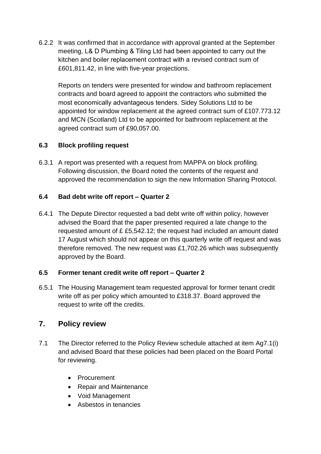6.2.2 It was confirmed that in accordance with approval granted at the September meeting, L& D Plumbing & Tiling Ltd had been appointed to carry out the kitchen and boiler replacement contract with a revised contract sum of £601,811.42, in line with five-year projections.

Reports on tenders were presented for window and bathroom replacement contracts and board agreed to appoint the contractors who submitted the most economically advantageous tenders. Sidey Solutions Ltd to be appointed for window replacement at the agreed contract sum of £107.773.12 and MCN (Scotland) Ltd to be appointed for bathroom replacement at the agreed contract sum of £90,057.00.

## **6.3 Block profiling request**

6.3.1 A report was presented with a request from MAPPA on block profiling. Following discussion, the Board noted the contents of the request and approved the recommendation to sign the new Information Sharing Protocol.

### **6.4 Bad debt write off report – Quarter 2**

6.4.1 The Depute Director requested a bad debt write off within policy, however advised the Board that the paper presented required a late change to the requested amount of £ £5,542.12; the request had included an amount dated 17 August which should not appear on this quarterly write off request and was therefore removed. The new request was £1,702.26 which was subsequently approved by the Board.

### **6.5 Former tenant credit write off report – Quarter 2**

6.5.1 The Housing Management team requested approval for former tenant credit write off as per policy which amounted to £318.37. Board approved the request to write off the credits.

# **7. Policy review**

- 7.1 The Director referred to the Policy Review schedule attached at item Ag7.1(i) and advised Board that these policies had been placed on the Board Portal for reviewing.
	- Procurement
	- Repair and Maintenance
	- Void Management
	- Asbestos in tenancies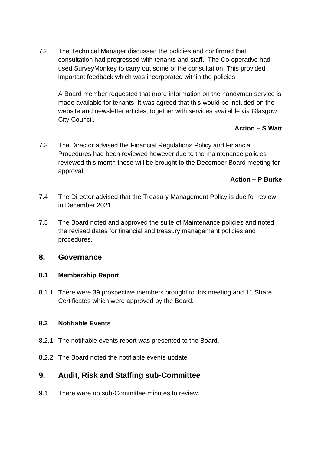7.2 The Technical Manager discussed the policies and confirmed that consultation had progressed with tenants and staff. The Co-operative had used SurveyMonkey to carry out some of the consultation. This provided important feedback which was incorporated within the policies.

A Board member requested that more information on the handyman service is made available for tenants. It was agreed that this would be included on the website and newsletter articles, together with services available via Glasgow City Council.

#### **Action – S Watt**

7.3 The Director advised the Financial Regulations Policy and Financial Procedures had been reviewed however due to the maintenance policies reviewed this month these will be brought to the December Board meeting for approval.

#### **Action – P Burke**

- 7.4 The Director advised that the Treasury Management Policy is due for review in December 2021.
- 7.5 The Board noted and approved the suite of Maintenance policies and noted the revised dates for financial and treasury management policies and procedures.

### **8. Governance**

#### **8.1 Membership Report**

8.1.1 There were 39 prospective members brought to this meeting and 11 Share Certificates which were approved by the Board.

#### **8.2 Notifiable Events**

- 8.2.1 The notifiable events report was presented to the Board.
- 8.2.2 The Board noted the notifiable events update.

## **9. Audit, Risk and Staffing sub-Committee**

9.1 There were no sub-Committee minutes to review.